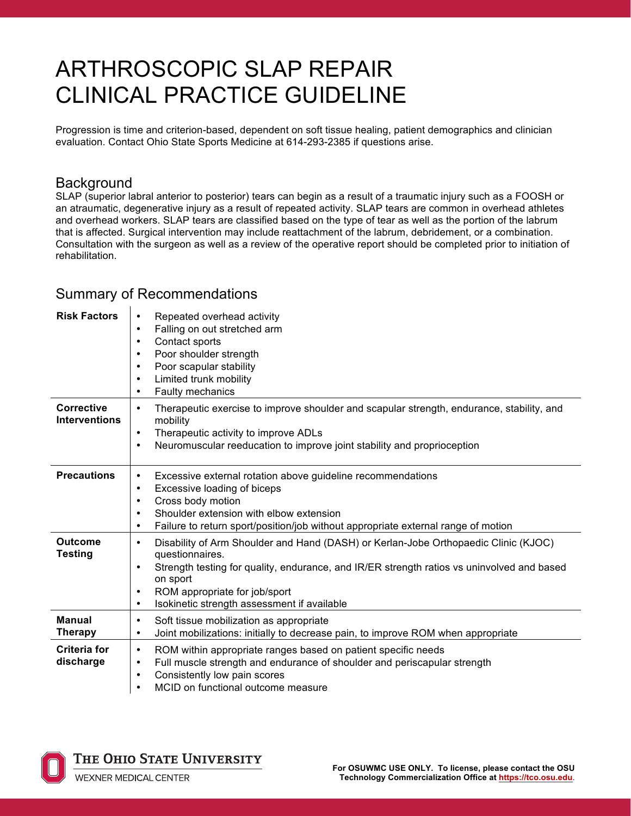# ARTHROSCOPIC SLAP REPAIR CLINICAL PRACTICE GUIDELINE

Progression is time and criterion-based, dependent on soft tissue healing, patient demographics and clinician evaluation. Contact Ohio State Sports Medicine at 614-293-2385 if questions arise.

#### **Background**

SLAP (superior labral anterior to posterior) tears can begin as a result of a traumatic injury such as a FOOSH or an atraumatic, degenerative injury as a result of repeated activity. SLAP tears are common in overhead athletes and overhead workers. SLAP tears are classified based on the type of tear as well as the portion of the labrum that is affected. Surgical intervention may include reattachment of the labrum, debridement, or a combination. Consultation with the surgeon as well as a review of the operative report should be completed prior to initiation of rehabilitation.

#### Summary of Recommendations

| <b>Risk Factors</b>                       | Repeated overhead activity<br>$\bullet$<br>Falling on out stretched arm<br>$\bullet$<br>Contact sports<br>$\bullet$<br>Poor shoulder strength<br>$\bullet$<br>Poor scapular stability<br>$\bullet$<br>Limited trunk mobility<br>$\bullet$<br>Faulty mechanics<br>$\bullet$                                                                           |
|-------------------------------------------|------------------------------------------------------------------------------------------------------------------------------------------------------------------------------------------------------------------------------------------------------------------------------------------------------------------------------------------------------|
| <b>Corrective</b><br><b>Interventions</b> | Therapeutic exercise to improve shoulder and scapular strength, endurance, stability, and<br>$\bullet$<br>mobility<br>Therapeutic activity to improve ADLs<br>$\bullet$<br>Neuromuscular reeducation to improve joint stability and proprioception<br>$\bullet$                                                                                      |
| <b>Precautions</b>                        | Excessive external rotation above guideline recommendations<br>$\bullet$<br>Excessive loading of biceps<br>$\bullet$<br>Cross body motion<br>$\bullet$<br>Shoulder extension with elbow extension<br>$\bullet$<br>Failure to return sport/position/job without appropriate external range of motion<br>$\bullet$                                     |
| <b>Outcome</b><br><b>Testing</b>          | Disability of Arm Shoulder and Hand (DASH) or Kerlan-Jobe Orthopaedic Clinic (KJOC)<br>$\bullet$<br>questionnaires.<br>Strength testing for quality, endurance, and IR/ER strength ratios vs uninvolved and based<br>$\bullet$<br>on sport<br>ROM appropriate for job/sport<br>$\bullet$<br>Isokinetic strength assessment if available<br>$\bullet$ |
| <b>Manual</b><br><b>Therapy</b>           | Soft tissue mobilization as appropriate<br>$\bullet$<br>Joint mobilizations: initially to decrease pain, to improve ROM when appropriate<br>$\bullet$                                                                                                                                                                                                |
| <b>Criteria for</b><br>discharge          | ROM within appropriate ranges based on patient specific needs<br>$\bullet$<br>Full muscle strength and endurance of shoulder and periscapular strength<br>$\bullet$<br>Consistently low pain scores<br>$\bullet$<br>MCID on functional outcome measure<br>$\bullet$                                                                                  |



THE OHIO STATE UNIVERSITY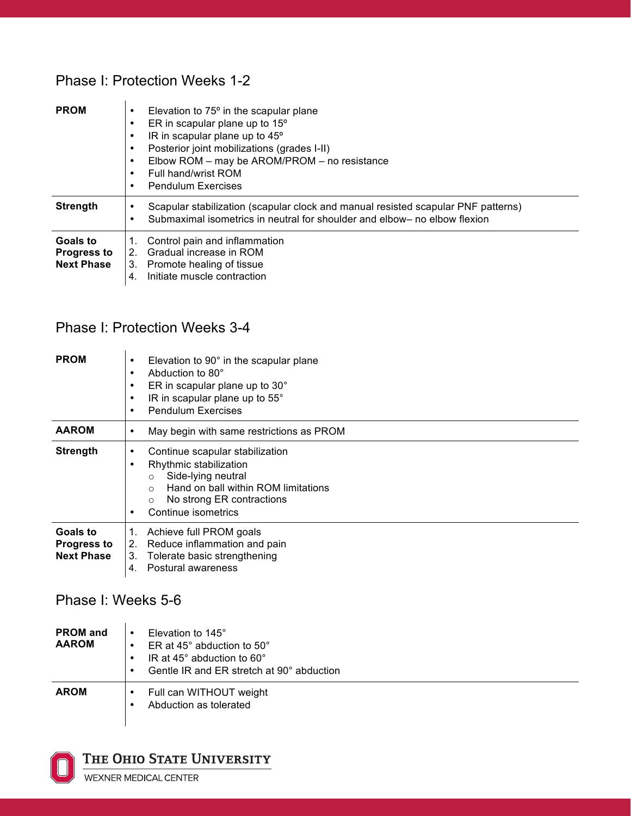#### Phase I: Protection Weeks 1-2

| <b>PROM</b>                                         | Elevation to 75° in the scapular plane<br>ER in scapular plane up to 15°<br>IR in scapular plane up to 45°<br>٠<br>Posterior joint mobilizations (grades I-II)<br>٠<br>Elbow ROM - may be AROM/PROM - no resistance<br>Full hand/wrist ROM<br>$\bullet$<br><b>Pendulum Exercises</b><br>٠ |
|-----------------------------------------------------|-------------------------------------------------------------------------------------------------------------------------------------------------------------------------------------------------------------------------------------------------------------------------------------------|
| <b>Strength</b>                                     | Scapular stabilization (scapular clock and manual resisted scapular PNF patterns)<br>Submaximal isometrics in neutral for shoulder and elbow- no elbow flexion                                                                                                                            |
| Goals to<br><b>Progress to</b><br><b>Next Phase</b> | Control pain and inflammation<br>Gradual increase in ROM<br>2.<br>Promote healing of tissue<br>3.<br>Initiate muscle contraction<br>4.                                                                                                                                                    |

### Phase I: Protection Weeks 3-4

| <b>PROM</b>                                         | Elevation to 90° in the scapular plane<br>٠<br>Abduction to 80°<br>٠<br>ER in scapular plane up to 30°<br>٠<br>IR in scapular plane up to 55°<br>٠<br><b>Pendulum Exercises</b><br>$\bullet$                              |
|-----------------------------------------------------|---------------------------------------------------------------------------------------------------------------------------------------------------------------------------------------------------------------------------|
| <b>AAROM</b>                                        | May begin with same restrictions as PROM<br>٠                                                                                                                                                                             |
| <b>Strength</b>                                     | Continue scapular stabilization<br>٠<br>Rhythmic stabilization<br>٠<br>Side-lying neutral<br>$\circ$<br>Hand on ball within ROM limitations<br>$\cap$<br>No strong ER contractions<br>$\circ$<br>Continue isometrics<br>٠ |
| Goals to<br><b>Progress to</b><br><b>Next Phase</b> | Achieve full PROM goals<br>1.<br>Reduce inflammation and pain<br>2.<br>Tolerate basic strengthening<br>3.<br>Postural awareness<br>4.                                                                                     |

### Phase I: Weeks 5-6

| <b>PROM</b> and<br><b>AAROM</b> | Elevation to 145°<br>ER at 45 $^{\circ}$ abduction to 50 $^{\circ}$<br>IR at 45° abduction to 60°<br>Gentle IR and ER stretch at 90° abduction |
|---------------------------------|------------------------------------------------------------------------------------------------------------------------------------------------|
| <b>AROM</b>                     | Full can WITHOUT weight<br>Abduction as tolerated                                                                                              |



THE OHIO STATE UNIVERSITY

WEXNER MEDICAL CENTER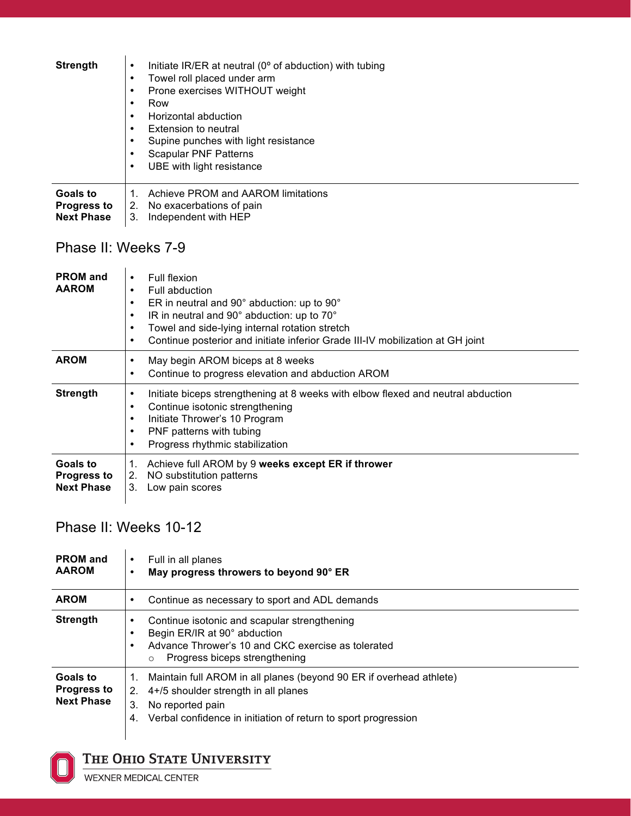| <b>Strength</b>                                     | Initiate IR/ER at neutral (0° of abduction) with tubing<br>$\bullet$<br>Towel roll placed under arm<br>٠<br>Prone exercises WITHOUT weight<br>٠<br>Row<br>٠<br>Horizontal abduction<br>$\bullet$<br>Extension to neutral<br>٠<br>Supine punches with light resistance<br>٠<br>Scapular PNF Patterns<br>٠<br>UBE with light resistance<br>٠ |
|-----------------------------------------------------|--------------------------------------------------------------------------------------------------------------------------------------------------------------------------------------------------------------------------------------------------------------------------------------------------------------------------------------------|
| Goals to<br><b>Progress to</b><br><b>Next Phase</b> | Achieve PROM and AAROM limitations<br>1.<br>No exacerbations of pain<br>2.<br>3.<br>Independent with HEP                                                                                                                                                                                                                                   |
| Phase II: Weeks 7-9                                 |                                                                                                                                                                                                                                                                                                                                            |

| <b>PROM</b> and<br><b>AAROM</b>                     | Full flexion<br>٠<br>Full abduction<br>$\bullet$<br>ER in neutral and 90° abduction: up to 90°<br>٠<br>IR in neutral and 90° abduction: up to 70°<br>٠<br>Towel and side-lying internal rotation stretch<br>٠<br>Continue posterior and initiate inferior Grade III-IV mobilization at GH joint<br>$\bullet$ |
|-----------------------------------------------------|--------------------------------------------------------------------------------------------------------------------------------------------------------------------------------------------------------------------------------------------------------------------------------------------------------------|
| <b>AROM</b>                                         | May begin AROM biceps at 8 weeks<br>Continue to progress elevation and abduction AROM<br>٠                                                                                                                                                                                                                   |
| <b>Strength</b>                                     | Initiate biceps strengthening at 8 weeks with elbow flexed and neutral abduction<br>٠<br>Continue isotonic strengthening<br>٠<br>Initiate Thrower's 10 Program<br>٠<br>PNF patterns with tubing<br>٠<br>Progress rhythmic stabilization                                                                      |
| Goals to<br><b>Progress to</b><br><b>Next Phase</b> | Achieve full AROM by 9 weeks except ER if thrower<br>1.<br>NO substitution patterns<br>2.<br>Low pain scores<br>3.                                                                                                                                                                                           |

Phase II: Weeks 10-12

| <b>PROM</b> and<br><b>AAROM</b>                     | Full in all planes<br>٠<br>May progress throwers to beyond 90° ER<br>٠                                                                                                                                                    |
|-----------------------------------------------------|---------------------------------------------------------------------------------------------------------------------------------------------------------------------------------------------------------------------------|
| <b>AROM</b>                                         | Continue as necessary to sport and ADL demands<br>٠                                                                                                                                                                       |
| <b>Strength</b>                                     | Continue isotonic and scapular strengthening<br>٠<br>Begin ER/IR at 90° abduction<br>Advance Thrower's 10 and CKC exercise as tolerated<br>٠<br>Progress biceps strengthening<br>$\circ$                                  |
| Goals to<br><b>Progress to</b><br><b>Next Phase</b> | Maintain full AROM in all planes (beyond 90 ER if overhead athlete)<br>1.<br>4+/5 shoulder strength in all planes<br>2.<br>3.<br>No reported pain<br>Verbal confidence in initiation of return to sport progression<br>4. |



## THE OHIO STATE UNIVERSITY

WEXNER MEDICAL CENTER